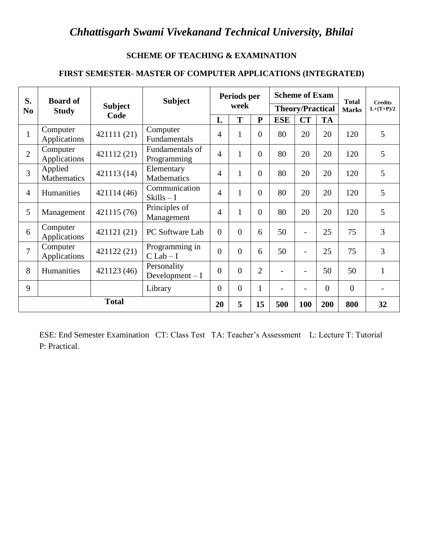### **SCHEME OF TEACHING & EXAMINATION**

#### **FIRST SEMESTER- MASTER OF COMPUTER APPLICATIONS (INTEGRATED)**

| S.<br><b>Board of</b> |                          | <b>Subject</b> |                                 | Periods per    |              |                | <b>Scheme of Exam</b>    |                          | <b>Total</b> | <b>Credits</b> |              |
|-----------------------|--------------------------|----------------|---------------------------------|----------------|--------------|----------------|--------------------------|--------------------------|--------------|----------------|--------------|
| N <sub>0</sub>        | <b>Study</b>             | <b>Subject</b> |                                 |                | week         |                |                          | <b>Theory/Practical</b>  |              | <b>Marks</b>   | $L+(T+P)/2$  |
|                       |                          | Code           |                                 | L              | T            | ${\bf P}$      | <b>ESE</b>               | <b>CT</b>                | <b>TA</b>    |                |              |
| $\mathbf{1}$          | Computer<br>Applications | 421111 (21)    | Computer<br>Fundamentals        | 4              | $\mathbf{1}$ | $\Omega$       | 80                       | 20                       | 20           | 120            | 5            |
| $\overline{2}$        | Computer<br>Applications | 421112 (21)    | Fundamentals of<br>Programming  | $\overline{4}$ | $\mathbf{1}$ | $\Omega$       | 80                       | 20                       | 20           | 120            | 5            |
| $\overline{3}$        | Applied<br>Mathematics   | 421113 (14)    | Elementary<br>Mathematics       | 4              | $\mathbf{1}$ | $\Omega$       | 80                       | 20                       | 20           | 120            | 5            |
| $\overline{4}$        | <b>Humanities</b>        | 421114 (46)    | Communication<br>$Skills-I$     | 4              | $\mathbf{1}$ | $\Omega$       | 80                       | 20                       | 20           | 120            | 5            |
| 5                     | Management               | 421115 (76)    | Principles of<br>Management     | $\overline{4}$ | $\mathbf{1}$ | $\Omega$       | 80                       | 20                       | 20           | 120            | 5            |
| 6                     | Computer<br>Applications | 421121 (21)    | PC Software Lab                 | $\Omega$       | $\Omega$     | 6              | 50                       | $\overline{\phantom{0}}$ | 25           | 75             | 3            |
| $\overline{7}$        | Computer<br>Applications | 421122 (21)    | Programming in<br>$C$ Lab $- I$ | $\theta$       | $\Omega$     | 6              | 50                       | $\overline{\phantom{a}}$ | 25           | 75             | 3            |
| 8                     | Humanities               | 421123 (46)    | Personality<br>Development $-I$ | $\Omega$       | $\Omega$     | $\overline{2}$ | $\overline{\phantom{a}}$ | $\overline{\phantom{a}}$ | 50           | 50             | $\mathbf{1}$ |
| 9                     |                          |                | Library                         | $\Omega$       | $\Omega$     | $\mathbf{1}$   | $\overline{\phantom{a}}$ | -                        | $\theta$     | $\theta$       |              |
|                       | <b>Total</b>             |                |                                 | 20             | 5            | 15             | 500                      | 100                      | 200          | 800            | 32           |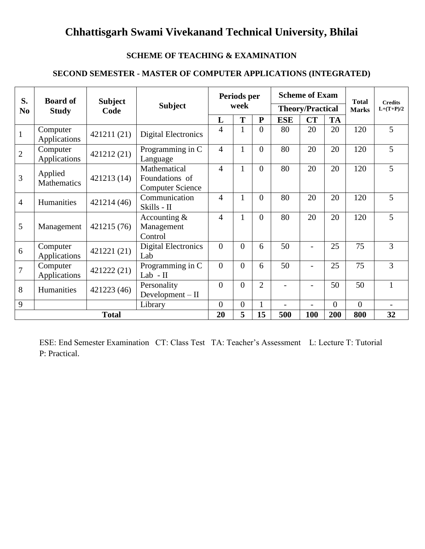#### **SCHEME OF TEACHING & EXAMINATION**

### **SECOND SEMESTER - MASTER OF COMPUTER APPLICATIONS (INTEGRATED)**

| S.             | <b>Board of</b>          | <b>Subject</b> |                                                           |                          | Periods per      |                |            | <b>Scheme of Exam</b>   |           | <b>Total</b> | <b>Credits</b> |
|----------------|--------------------------|----------------|-----------------------------------------------------------|--------------------------|------------------|----------------|------------|-------------------------|-----------|--------------|----------------|
| N <sub>0</sub> | <b>Study</b>             | Code           | <b>Subject</b>                                            |                          | week             |                |            | <b>Theory/Practical</b> |           | <b>Marks</b> | $L+(T+P)/2$    |
|                |                          |                |                                                           | L                        | T                | ${\bf P}$      | <b>ESE</b> | CT                      | <b>TA</b> |              |                |
| $\mathbf{1}$   | Computer<br>Applications | 421211 (21)    | <b>Digital Electronics</b>                                | 4                        | 1                | $\Omega$       | 80         | 20                      | 20        | 120          | 5              |
| $\overline{2}$ | Computer<br>Applications | 421212(21)     | Programming in C<br>Language                              | $\overline{4}$           | $\mathbf{1}$     | $\theta$       | 80         | 20                      | 20        | 120          | $\overline{5}$ |
| 3              | Applied<br>Mathematics   | 421213 (14)    | Mathematical<br>Foundations of<br><b>Computer Science</b> | $\overline{\mathcal{L}}$ | 1                | $\theta$       | 80         | 20                      | 20        | 120          | 5              |
| $\overline{4}$ | Humanities               | 421214 (46)    | Communication<br>Skills - II                              | 4                        | 1                | $\Omega$       | 80         | 20                      | 20        | 120          | 5              |
| 5              | Management               | 421215 (76)    | Accounting $&$<br>Management<br>Control                   | 4                        | 1                | $\Omega$       | 80         | 20                      | 20        | 120          | 5              |
| 6              | Computer<br>Applications | 421221 (21)    | <b>Digital Electronics</b><br>Lab                         | $\theta$                 | $\theta$         | 6              | 50         |                         | 25        | 75           | 3              |
| $\overline{7}$ | Computer<br>Applications | 421222 (21)    | Programming in C<br>Lab - II                              | $\overline{0}$           | $\theta$         | 6              | 50         | $\overline{a}$          | 25        | 75           | 3              |
| 8              | Humanities               | 421223 (46)    | Personality<br>Development $-II$                          | $\theta$                 | $\theta$         | $\overline{2}$ |            |                         | 50        | 50           | 1              |
| 9              |                          |                | Library                                                   | $\overline{0}$           | $\boldsymbol{0}$ |                |            | $\overline{a}$          | $\Omega$  | $\Omega$     |                |
| <b>Total</b>   |                          | 20             | 5                                                         | 15                       | 500              | 100            | 200        | 800                     | 32        |              |                |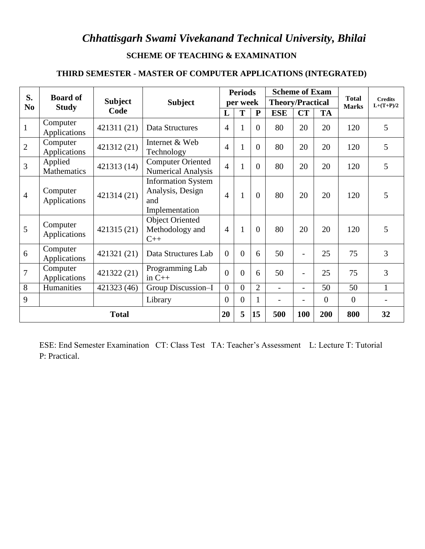### **SCHEME OF TEACHING & EXAMINATION**

#### **THIRD SEMESTER - MASTER OF COMPUTER APPLICATIONS (INTEGRATED)**

| S.             | <b>Board of</b>          |                |                                                                        |                | <b>Periods</b> |                | <b>Scheme of Exam</b>   |                          |                |                              |                               |
|----------------|--------------------------|----------------|------------------------------------------------------------------------|----------------|----------------|----------------|-------------------------|--------------------------|----------------|------------------------------|-------------------------------|
| N <sub>0</sub> | <b>Study</b>             | <b>Subject</b> | <b>Subject</b>                                                         |                | per week       |                | <b>Theory/Practical</b> |                          |                | <b>Total</b><br><b>Marks</b> | <b>Credits</b><br>$L+(T+P)/2$ |
|                |                          | Code           |                                                                        | L              | T              | P              | <b>ESE</b>              | CT                       | <b>TA</b>      |                              |                               |
| $\mathbf{1}$   | Computer<br>Applications | 421311 (21)    | Data Structures                                                        | $\overline{4}$ | $\mathbf{1}$   | $\overline{0}$ | 80                      | 20                       | 20             | 120                          | 5                             |
| $\overline{2}$ | Computer<br>Applications | 421312 (21)    | Internet & Web<br>Technology                                           | $\overline{4}$ | $\mathbf{1}$   | $\overline{0}$ | 80                      | 20                       | 20             | 120                          | 5                             |
| 3              | Applied<br>Mathematics   | 421313 (14)    | Computer Oriented<br><b>Numerical Analysis</b>                         | $\overline{4}$ | $\mathbf{1}$   | $\overline{0}$ | 80                      | 20                       | 20             | 120                          | 5                             |
| $\overline{4}$ | Computer<br>Applications | 421314 (21)    | <b>Information System</b><br>Analysis, Design<br>and<br>Implementation | $\overline{4}$ | $\mathbf{1}$   | $\overline{0}$ | 80                      | 20                       | 20             | 120                          | 5                             |
| 5              | Computer<br>Applications | 421315 (21)    | <b>Object Oriented</b><br>Methodology and<br>$C++$                     | $\overline{4}$ | $\mathbf{1}$   | $\overline{0}$ | 80                      | 20                       | 20             | 120                          | 5                             |
| 6              | Computer<br>Applications | 421321 (21)    | Data Structures Lab                                                    | $\overline{0}$ | $\overline{0}$ | 6              | 50                      | -                        | 25             | 75                           | 3                             |
| $\overline{7}$ | Computer<br>Applications | 421322 (21)    | Programming Lab<br>in $C++$                                            | $\theta$       | $\overline{0}$ | 6              | 50                      | $\overline{\phantom{0}}$ | 25             | 75                           | 3                             |
| 8              | Humanities               | 421323 (46)    | Group Discussion-I                                                     | $\overline{0}$ | $\overline{0}$ | $\overline{2}$ | $\frac{1}{2}$           | $\overline{\phantom{0}}$ | 50             | 50                           | $\mathbf{1}$                  |
| 9              |                          |                | Library                                                                | $\overline{0}$ | $\mathbf{0}$   | $\mathbf{1}$   | $\overline{a}$          |                          | $\overline{0}$ | $\mathbf{0}$                 |                               |
|                |                          | <b>Total</b>   |                                                                        | 20             | 5              | 15             | 500                     | 100                      | 200            | 800                          | 32                            |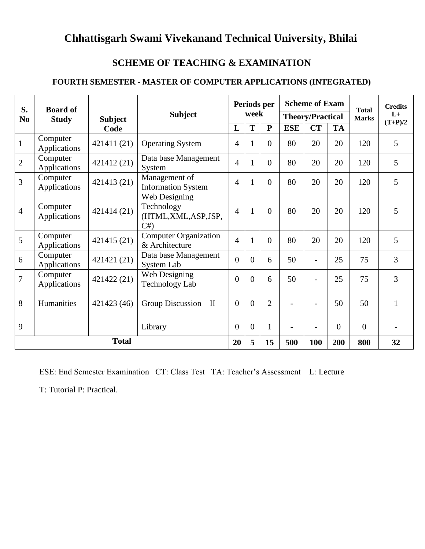### **SCHEME OF TEACHING & EXAMINATION**

### **FOURTH SEMESTER - MASTER OF COMPUTER APPLICATIONS (INTEGRATED)**

| S.<br>N <sub>0</sub> | <b>Board of</b><br><b>Study</b> | <b>Subject</b> | <b>Subject</b>                                          |                | week           | Periods per    |            | <b>Scheme of Exam</b><br><b>Theory/Practical</b> |                | <b>Total</b><br><b>Marks</b> | <b>Credits</b><br>$L+$ |
|----------------------|---------------------------------|----------------|---------------------------------------------------------|----------------|----------------|----------------|------------|--------------------------------------------------|----------------|------------------------------|------------------------|
|                      |                                 | Code           |                                                         | L              | T              | ${\bf P}$      | <b>ESE</b> | CT                                               | <b>TA</b>      |                              | $(T+P)/2$              |
| $\mathbf{1}$         | Computer<br>Applications        | 421411 (21)    | <b>Operating System</b>                                 | 4              | 1              | $\theta$       | 80         | 20                                               | 20             | 120                          | 5                      |
| $\overline{2}$       | Computer<br>Applications        | 421412 (21)    | Data base Management<br>System                          | $\overline{4}$ | $\mathbf{1}$   | $\Omega$       | 80         | 20                                               | 20             | 120                          | 5                      |
| 3                    | Computer<br>Applications        | 421413 (21)    | Management of<br><b>Information System</b>              | $\overline{4}$ | 1              | $\Omega$       | 80         | 20                                               | 20             | 120                          | 5                      |
| 4                    | Computer<br>Applications        | 421414 (21)    | Web Designing<br>Technology<br>(HTML,XML,ASP,JSP,<br>C# | $\overline{4}$ | $\mathbf{1}$   | $\Omega$       | 80         | 20                                               | 20             | 120                          | 5                      |
| 5                    | Computer<br>Applications        | 421415 (21)    | <b>Computer Organization</b><br>& Architecture          | $\overline{4}$ | 1              | $\Omega$       | 80         | 20                                               | 20             | 120                          | 5                      |
| 6                    | Computer<br>Applications        | 421421 (21)    | Data base Management<br>System Lab                      | $\theta$       | $\overline{0}$ | 6              | 50         | $\overline{\phantom{a}}$                         | 25             | 75                           | 3                      |
| $\overline{7}$       | Computer<br>Applications        | 421422 (21)    | Web Designing<br><b>Technology Lab</b>                  | $\overline{0}$ | $\overline{0}$ | 6              | 50         | $\overline{\phantom{0}}$                         | 25             | 75                           | 3                      |
| 8                    | Humanities                      | 421423 (46)    | Group Discussion - II                                   | $\overline{0}$ | $\overline{0}$ | $\overline{2}$ |            | $\overline{a}$                                   | 50             | 50                           | $\mathbf{1}$           |
| 9                    |                                 |                | Library                                                 | $\overline{0}$ | $\theta$       | $\mathbf{1}$   |            | $\overline{\phantom{0}}$                         | $\overline{0}$ | $\overline{0}$               |                        |
|                      |                                 | <b>Total</b>   |                                                         | 20             | 5              | 15             | 500        | 100                                              | 200            | 800                          | 32                     |

ESE: End Semester Examination CT: Class Test TA: Teacher's Assessment L: Lecture

T: Tutorial P: Practical.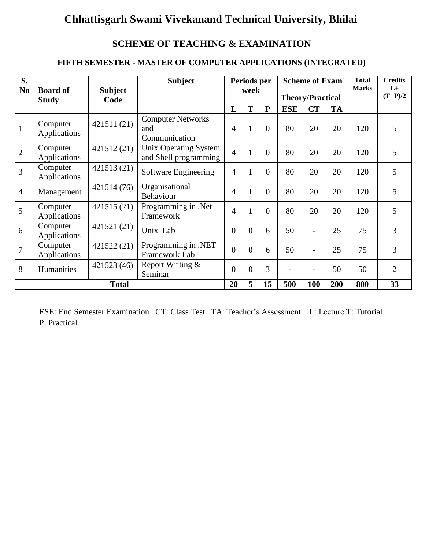### **SCHEME OF TEACHING & EXAMINATION**

### **FIFTH SEMESTER - MASTER OF COMPUTER APPLICATIONS (INTEGRATED)**

| S.<br>N <sub>0</sub> | <b>Board of</b>          | <b>Subject</b> | <b>Subject</b>                                   |                | Periods per<br>week |           |                | <b>Scheme of Exam</b>    |           | <b>Total</b><br><b>Marks</b> | <b>Credits</b><br>$L+$ |
|----------------------|--------------------------|----------------|--------------------------------------------------|----------------|---------------------|-----------|----------------|--------------------------|-----------|------------------------------|------------------------|
|                      | <b>Study</b>             | Code           |                                                  |                |                     |           |                | <b>Theory/Practical</b>  |           |                              | $(T+P)/2$              |
|                      |                          |                |                                                  | L              | T                   | ${\bf P}$ | <b>ESE</b>     | CT                       | <b>TA</b> |                              |                        |
| $\mathbf{1}$         | Computer<br>Applications | 421511 (21)    | <b>Computer Networks</b><br>and<br>Communication | $\overline{4}$ | $\mathbf{1}$        | $\Omega$  | 80             | 20                       | 20        | 120                          | 5                      |
| $\overline{2}$       | Computer<br>Applications | 421512(21)     | Unix Operating System<br>and Shell programming   | $\overline{4}$ | $\mathbf{1}$        | $\theta$  | 80             | 20                       | 20        | 120                          | 5                      |
| 3                    | Computer<br>Applications | 421513 (21)    | Software Engineering                             | $\overline{4}$ | $\mathbf{1}$        | $\Omega$  | 80             | 20                       | 20        | 120                          | 5                      |
| $\overline{4}$       | Management               | 421514 (76)    | Organisational<br>Behaviour                      | 4              | 1                   | $\Omega$  | 80             | 20                       | 20        | 120                          | 5                      |
| 5                    | Computer<br>Applications | 421515 (21)    | Programming in .Net<br>Framework                 | $\overline{4}$ | $\mathbf{1}$        | $\theta$  | 80             | 20                       | 20        | 120                          | 5                      |
| 6                    | Computer<br>Applications | 421521 (21)    | Unix Lab                                         | $\theta$       | $\theta$            | 6         | 50             | -                        | 25        | 75                           | 3                      |
| 7                    | Computer<br>Applications | 421522 (21)    | Programming in .NET<br>Framework Lab             | $\overline{0}$ | $\overline{0}$      | 6         | 50             |                          | 25        | 75                           | 3                      |
| 8                    | Humanities               | 421523 (46)    | Report Writing &<br>Seminar                      | $\theta$       | $\overline{0}$      | 3         | $\overline{a}$ | $\overline{\phantom{0}}$ | 50        | 50                           | $\overline{2}$         |
|                      |                          | <b>Total</b>   |                                                  | 20             | 5                   | 15        | 500            | 100                      | 200       | 800                          | 33                     |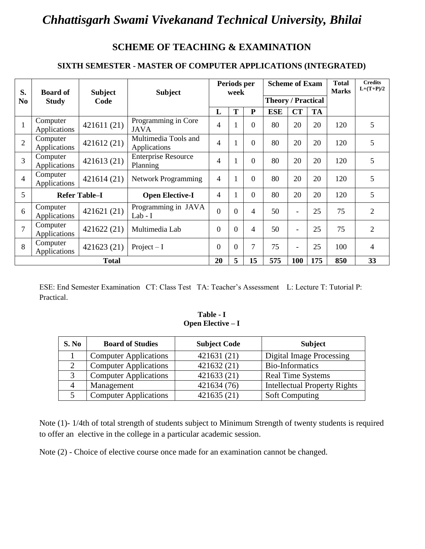### **SCHEME OF TEACHING & EXAMINATION**

### **SIXTH SEMESTER - MASTER OF COMPUTER APPLICATIONS (INTEGRATED)**

| S.             | <b>Board of</b>          | <b>Subject</b>       | <b>Subject</b>                         | Periods per<br>week |                | <b>Scheme of Exam</b>    |                           |                          | <b>Total</b><br><b>Marks</b> | <b>Credits</b><br>$L+(T+P)/2$ |                |
|----------------|--------------------------|----------------------|----------------------------------------|---------------------|----------------|--------------------------|---------------------------|--------------------------|------------------------------|-------------------------------|----------------|
| N <sub>0</sub> | <b>Study</b>             | Code                 |                                        |                     |                |                          | <b>Theory / Practical</b> |                          |                              |                               |                |
|                |                          |                      |                                        | L                   | T              | P                        | <b>ESE</b>                | <b>CT</b>                | <b>TA</b>                    |                               |                |
| $\mathbf{1}$   | Computer<br>Applications | 421611 (21)          | Programming in Core<br><b>JAVA</b>     | 4                   | $\mathbf{1}$   | $\Omega$                 | 80                        | 20                       | 20                           | 120                           | 5              |
| $\overline{2}$ | Computer<br>Applications | 421612 (21)          | Multimedia Tools and<br>Applications   | 4                   | $\mathbf{1}$   | $\Omega$                 | 80                        | 20                       | 20                           | 120                           | 5              |
| $\overline{3}$ | Computer<br>Applications | 421613 (21)          | <b>Enterprise Resource</b><br>Planning | 4                   | $\mathbf{1}$   | $\Omega$                 | 80                        | 20                       | 20                           | 120                           | 5              |
| $\overline{4}$ | Computer<br>Applications | 421614 (21)          | Network Programming                    | 4                   | 1              | $\Omega$                 | 80                        | 20                       | 20                           | 120                           | 5              |
| 5              |                          | <b>Refer Table–I</b> | <b>Open Elective-I</b>                 | 4                   | 1              | $\Omega$                 | 80                        | 20                       | 20                           | 120                           | 5              |
| 6              | Computer<br>Applications | 421621 (21)          | Programming in JAVA<br>$Lab-I$         | $\overline{0}$      | $\overline{0}$ | $\overline{\mathcal{A}}$ | 50                        | $\overline{\phantom{a}}$ | 25                           | 75                            | $\overline{2}$ |
| $\overline{7}$ | Computer<br>Applications | 421622 (21)          | Multimedia Lab                         | $\Omega$            | $\theta$       | $\overline{4}$           | 50                        | $\overline{\phantom{a}}$ | 25                           | 75                            | $\overline{2}$ |
| 8              | Computer<br>Applications | 421623 (21)          | Project $-I$                           | $\overline{0}$      | $\overline{0}$ | $\overline{7}$           | 75                        | $\overline{\phantom{a}}$ | 25                           | 100                           | $\overline{4}$ |
| <b>Total</b>   |                          | 20                   | 5                                      | 15                  | 575            | 100                      | 175                       | 850                      | 33                           |                               |                |

ESE: End Semester Examination CT: Class Test TA: Teacher's Assessment L: Lecture T: Tutorial P: Practical.

#### **Table - I Open Elective – I**

| S. No     | <b>Board of Studies</b>      | <b>Subject Code</b> | <b>Subject</b>                      |
|-----------|------------------------------|---------------------|-------------------------------------|
|           | <b>Computer Applications</b> | 421631 (21)         | <b>Digital Image Processing</b>     |
| $\bigcap$ | <b>Computer Applications</b> | 421632 (21)         | <b>Bio-Informatics</b>              |
|           | <b>Computer Applications</b> | 421633 (21)         | <b>Real Time Systems</b>            |
| 4         | Management                   | 421634 (76)         | <b>Intellectual Property Rights</b> |
|           | <b>Computer Applications</b> | 421635 (21)         | <b>Soft Computing</b>               |

Note (1)- 1/4th of total strength of students subject to Minimum Strength of twenty students is required to offer an elective in the college in a particular academic session.

Note (2) - Choice of elective course once made for an examination cannot be changed.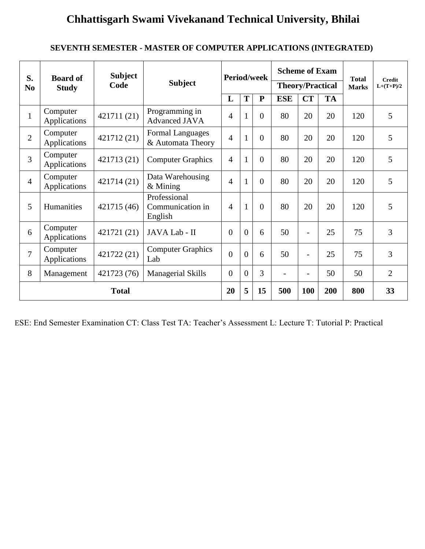### **SEVENTH SEMESTER - MASTER OF COMPUTER APPLICATIONS (INTEGRATED)**

| S.<br>N <sub>0</sub> | <b>Board of</b><br><b>Study</b> | <b>Subject</b><br>Code | <b>Period/week</b><br><b>Subject</b>         |                | <b>Scheme of Exam</b><br><b>Theory/Practical</b> |                |            | <b>Total</b><br><b>Marks</b> | <b>Credit</b><br>$L+(T+P)/2$ |     |                |
|----------------------|---------------------------------|------------------------|----------------------------------------------|----------------|--------------------------------------------------|----------------|------------|------------------------------|------------------------------|-----|----------------|
|                      |                                 |                        |                                              | L              | T                                                | ${\bf P}$      | <b>ESE</b> | CT                           | <b>TA</b>                    |     |                |
| $\mathbf{1}$         | Computer<br>Applications        | 421711 (21)            | Programming in<br><b>Advanced JAVA</b>       | 4              | $\mathbf{1}$                                     | $\theta$       | 80         | 20                           | 20                           | 120 | 5              |
| $\overline{2}$       | Computer<br>Applications        | 421712 (21)            | <b>Formal Languages</b><br>& Automata Theory | $\overline{4}$ | 1                                                | $\theta$       | 80         | 20                           | 20                           | 120 | 5              |
| 3                    | Computer<br>Applications        | 421713 (21)            | <b>Computer Graphics</b>                     | $\overline{4}$ | 1                                                | $\theta$       | 80         | 20                           | 20                           | 120 | 5              |
| $\overline{4}$       | Computer<br>Applications        | 421714 (21)            | Data Warehousing<br>$&$ Mining               | $\overline{4}$ | $\mathbf{1}$                                     | $\overline{0}$ | 80         | 20                           | 20                           | 120 | 5              |
| 5                    | Humanities                      | 421715 (46)            | Professional<br>Communication in<br>English  | $\overline{4}$ | $\mathbf{1}$                                     | $\Omega$       | 80         | 20                           | 20                           | 120 | 5              |
| 6                    | Computer<br>Applications        | 421721 (21)            | JAVA Lab - II                                | $\overline{0}$ | $\theta$                                         | 6              | 50         | $\overline{\phantom{a}}$     | 25                           | 75  | 3              |
| $\overline{7}$       | Computer<br>Applications        | 421722 (21)            | <b>Computer Graphics</b><br>Lab              | $\theta$       | $\overline{0}$                                   | 6              | 50         |                              | 25                           | 75  | 3              |
| 8                    | Management                      | 421723 (76)            | <b>Managerial Skills</b>                     | $\overline{0}$ | $\overline{0}$                                   | 3              |            | $\overline{a}$               | 50                           | 50  | $\overline{2}$ |
|                      |                                 | <b>Total</b>           |                                              | 20             | 5                                                | 15             | 500        | 100                          | 200                          | 800 | 33             |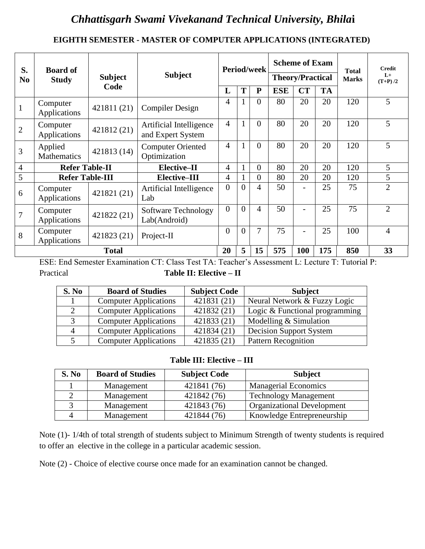### **EIGHTH SEMESTER - MASTER OF COMPUTER APPLICATIONS (INTEGRATED)**

| S.             | <b>Board of</b>               |                |                                              |                |                | <b>Period/week</b> |                         | <b>Scheme of Exam</b>    |           | <b>Total</b> | <b>Credit</b>     |
|----------------|-------------------------------|----------------|----------------------------------------------|----------------|----------------|--------------------|-------------------------|--------------------------|-----------|--------------|-------------------|
| N <sub>0</sub> | <b>Study</b>                  | <b>Subject</b> | <b>Subject</b>                               |                |                |                    | <b>Theory/Practical</b> |                          |           | <b>Marks</b> | $L+$<br>$(T+P)/2$ |
|                |                               | Code           |                                              | L              | T              | ${\bf P}$          | <b>ESE</b>              | <b>CT</b>                | <b>TA</b> |              |                   |
|                | Computer<br>Applications      | 421811 (21)    | <b>Compiler Design</b>                       | 4              |                | $\Omega$           | 80                      | 20                       | 20        | 120          | 5                 |
| $\overline{2}$ | Computer<br>Applications      | 421812 (21)    | Artificial Intelligence<br>and Expert System | $\overline{4}$ |                | $\Omega$           | 80                      | 20                       | 20        | 120          | 5                 |
| 3              | Applied<br><b>Mathematics</b> | 421813 (14)    | <b>Computer Oriented</b><br>Optimization     | 4              |                | $\overline{0}$     | 80                      | 20                       | 20        | 120          | 5                 |
| $\overline{4}$ | <b>Refer Table-II</b>         |                | Elective-II                                  | 4              |                | $\overline{0}$     | 80                      | 20                       | 20        | 120          | 5                 |
| 5              | <b>Refer Table-III</b>        |                | <b>Elective-III</b>                          | 4              |                | $\overline{0}$     | 80                      | 20                       | 20        | 120          | 5                 |
| 6              | Computer<br>Applications      | 421821 (21)    | Artificial Intelligence<br>Lab               | $\overline{0}$ | $\theta$       | 4                  | 50                      | $\overline{\phantom{0}}$ | 25        | 75           | $\overline{2}$    |
| 7              | Computer<br>Applications      | 421822 (21)    | Software Technology<br>Lab(Android)          | $\overline{0}$ | $\theta$       | 4                  | 50                      |                          | 25        | 75           | $\overline{2}$    |
| 8              | Computer<br>Applications      | 421823 (21)    | Project-II                                   | $\overline{0}$ | $\overline{0}$ | 7                  | 75                      |                          | 25        | 100          | $\overline{4}$    |
|                | <b>Total</b>                  |                |                                              | 20             | 5              | 15                 | 575                     | 100                      | 175       | 850          | 33                |

ESE: End Semester Examination CT: Class Test TA: Teacher's Assessment L: Lecture T: Tutorial P: Practical **Table II: Elective – II**

| S. No | <b>Board of Studies</b>      | <b>Subject Code</b> | <b>Subject</b>                 |
|-------|------------------------------|---------------------|--------------------------------|
|       | <b>Computer Applications</b> | 421831 (21)         | Neural Network & Fuzzy Logic   |
|       | <b>Computer Applications</b> | 421832 (21)         | Logic & Functional programming |
|       | <b>Computer Applications</b> | 421833 (21)         | Modelling & Simulation         |
| 4     | <b>Computer Applications</b> | 421834 (21)         | Decision Support System        |
|       | <b>Computer Applications</b> | 421835 (21)         | <b>Pattern Recognition</b>     |

### **Table III: Elective – III**

| S. No | <b>Board of Studies</b> | <b>Subject Code</b> | <b>Subject</b>                    |
|-------|-------------------------|---------------------|-----------------------------------|
|       | Management              | 421841 (76)         | <b>Managerial Economics</b>       |
|       | Management              | 421842 (76)         | <b>Technology Management</b>      |
|       | Management              | 421843 (76)         | <b>Organizational Development</b> |
|       | Management              | 421844 (76)         | Knowledge Entrepreneurship        |

Note (1)- 1/4th of total strength of students subject to Minimum Strength of twenty students is required to offer an elective in the college in a particular academic session.

Note (2) - Choice of elective course once made for an examination cannot be changed.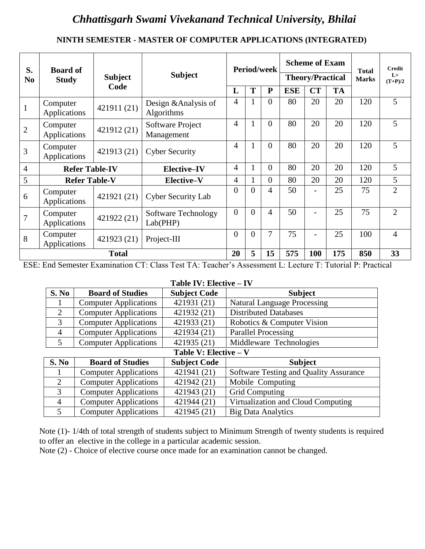### **NINTH SEMESTER - MASTER OF COMPUTER APPLICATIONS (INTEGRATED)**

| S.             | <b>Board of</b>          |                |                                    |                |              | <b>Period/week</b> |            | <b>Scheme of Exam</b>    |           | <b>Total</b> | <b>Credit</b>     |
|----------------|--------------------------|----------------|------------------------------------|----------------|--------------|--------------------|------------|--------------------------|-----------|--------------|-------------------|
| N <sub>0</sub> | <b>Study</b>             | <b>Subject</b> | <b>Subject</b>                     |                |              |                    |            | <b>Theory/Practical</b>  |           | <b>Marks</b> | $L+$<br>$(T+P)/2$ |
|                |                          | Code           |                                    | L              | T            | $\mathbf{P}$       | <b>ESE</b> | CT                       | <b>TA</b> |              |                   |
|                | Computer<br>Applications | 421911 (21)    | Design & Analysis of<br>Algorithms | 4              |              | $\overline{0}$     | 80         | 20                       | 20        | 120          | 5                 |
| $\overline{2}$ | Computer<br>Applications | 421912 (21)    | Software Project<br>Management     | $\overline{4}$ | $\mathbf{1}$ | $\theta$           | 80         | 20                       | 20        | 120          | 5                 |
| 3              | Computer<br>Applications | 421913 (21)    | <b>Cyber Security</b>              | $\overline{4}$ | 1            | $\theta$           | 80         | 20                       | 20        | 120          | 5                 |
| 4              | <b>Refer Table-IV</b>    |                | <b>Elective-IV</b>                 | $\overline{4}$ | $\mathbf{1}$ | $\theta$           | 80         | 20                       | 20        | 120          | 5                 |
| 5              | <b>Refer Table-V</b>     |                | Elective-V                         | 4              | 1            | $\Omega$           | 80         | 20                       | 20        | 120          | 5                 |
| 6              | Computer<br>Applications | 421921 (21)    | <b>Cyber Security Lab</b>          | $\overline{0}$ | $\theta$     | 4                  | 50         | $\overline{\phantom{a}}$ | 25        | 75           | $\overline{2}$    |
| 7              | Computer<br>Applications | 421922 (21)    | Software Technology<br>Lab(PHP)    | $\overline{0}$ | $\theta$     | 4                  | 50         | $\blacksquare$           | 25        | 75           | $\overline{2}$    |
| 8              | Computer<br>Applications | 421923 (21)    | Project-III                        | $\theta$       | $\theta$     | 7                  | 75         | $\overline{\phantom{a}}$ | 25        | 100          | $\overline{4}$    |
|                |                          | <b>Total</b>   |                                    | 20             | 5            | 15                 | 575        | 100                      | 175       | 850          | 33                |

ESE: End Semester Examination CT: Class Test TA: Teacher's Assessment L: Lecture T: Tutorial P: Practical

#### **Table IV: Elective – IV**

| S. No                 | <b>Board of Studies</b>      | <b>Subject Code</b> | <b>Subject</b>                         |  |  |  |  |  |  |  |
|-----------------------|------------------------------|---------------------|----------------------------------------|--|--|--|--|--|--|--|
|                       | <b>Computer Applications</b> | 421931 (21)         | <b>Natural Language Processing</b>     |  |  |  |  |  |  |  |
| 2                     | <b>Computer Applications</b> | 421932 (21)         | <b>Distributed Databases</b>           |  |  |  |  |  |  |  |
| 3                     | <b>Computer Applications</b> | 421933 (21)         | Robotics & Computer Vision             |  |  |  |  |  |  |  |
| $\overline{4}$        | <b>Computer Applications</b> | 421934 (21)         | <b>Parallel Processing</b>             |  |  |  |  |  |  |  |
| 5                     | <b>Computer Applications</b> | 421935 (21)         | Middleware Technologies                |  |  |  |  |  |  |  |
| Table V: Elective - V |                              |                     |                                        |  |  |  |  |  |  |  |
| S. No                 | <b>Board of Studies</b>      | <b>Subject Code</b> | <b>Subject</b>                         |  |  |  |  |  |  |  |
|                       | <b>Computer Applications</b> | 421941 (21)         | Software Testing and Quality Assurance |  |  |  |  |  |  |  |
| $\overline{2}$        | <b>Computer Applications</b> | 421942 (21)         | Mobile Computing                       |  |  |  |  |  |  |  |
| 3                     | <b>Computer Applications</b> | 421943 (21)         | <b>Grid Computing</b>                  |  |  |  |  |  |  |  |
| 4                     | <b>Computer Applications</b> | 421944 (21)         | Virtualization and Cloud Computing     |  |  |  |  |  |  |  |
| 5                     | <b>Computer Applications</b> | 421945 (21)         | <b>Big Data Analytics</b>              |  |  |  |  |  |  |  |

Note (1)- 1/4th of total strength of students subject to Minimum Strength of twenty students is required to offer an elective in the college in a particular academic session.

Note (2) - Choice of elective course once made for an examination cannot be changed.